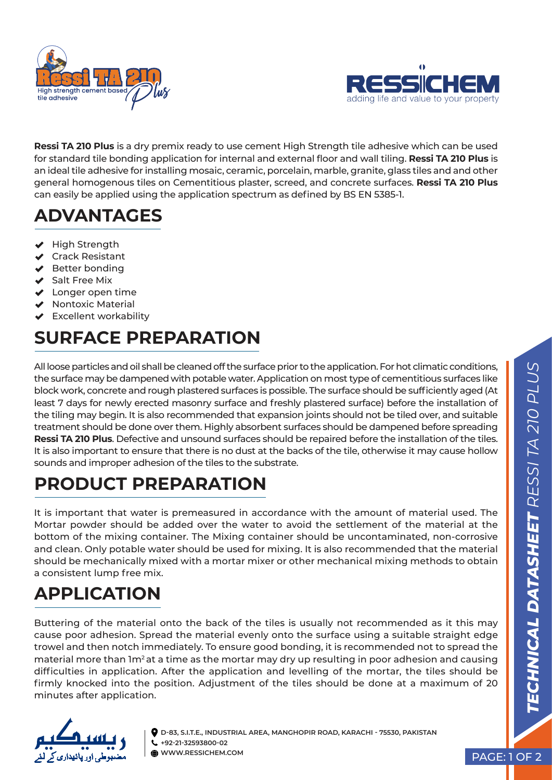



**Ressi TA 210 Plus** is a dry premix ready to use cement High Strength tile adhesive which can be used for standard tile bonding application for internal and external floor and wall tiling. **Ressi TA 210 Plus** is an ideal tile adhesive for installing mosaic, ceramic, porcelain, marble, granite, glass tiles and and other general homogenous tiles on Cementitious plaster, screed, and concrete surfaces. **Ressi TA 210 Plus** can easily be applied using the application spectrum as defined by BS EN 5385-1.

## **ADVANTAGES**

- $\blacktriangleright$  High Strength
- ◆ Crack Resistant
- $\blacktriangleright$  Better bonding
- Salt Free Mix
- $\blacktriangleright$  Longer open time
- $\blacktriangleright$  Nontoxic Material
- $\blacktriangleright$  Excellent workability

# **SURFACE PREPARATION**

All loose particles and oil shall be cleaned off the surface prior to the application. For hot climatic conditions, the surface may be dampened with potable water. Application on most type of cementitious surfaces like block work, concrete and rough plastered surfaces is possible. The surface should be sufficiently aged (At least 7 days for newly erected masonry surface and freshly plastered surface) before the installation of the tiling may begin. It is also recommended that expansion joints should not be tiled over, and suitable treatment should be done over them. Highly absorbent surfaces should be dampened before spreading **Ressi TA 210 Plus**. Defective and unsound surfaces should be repaired before the installation of the tiles. It is also important to ensure that there is no dust at the backs of the tile, otherwise it may cause hollow sounds and improper adhesion of the tiles to the substrate.

## **PRODUCT PREPARATION**

It is important that water is premeasured in accordance with the amount of material used. The Mortar powder should be added over the water to avoid the settlement of the material at the bottom of the mixing container. The Mixing container should be uncontaminated, non-corrosive and clean. Only potable water should be used for mixing. It is also recommended that the material should be mechanically mixed with a mortar mixer or other mechanical mixing methods to obtain a consistent lump free mix.

#### **APPLICATION**

Buttering of the material onto the back of the tiles is usually not recommended as it this may cause poor adhesion. Spread the material evenly onto the surface using a suitable straight edge trowel and then notch immediately. To ensure good bonding, it is recommended not to spread the material more than 1m<sup>2</sup> at a time as the mortar may dry up resulting in poor adhesion and causing difficulties in application. After the application and levelling of the mortar, the tiles should be firmly knocked into the position. Adjustment of the tiles should be done at a maximum of 20 minutes after application.



**D-83, S.I.T.E., INDUSTRIAL AREA, MANGHOPIR ROAD, KARACHI - 75530, PAKISTAN +92-21-32593800-02 WWW.RESSICHEM.COM** PAGE: 1 OF 2